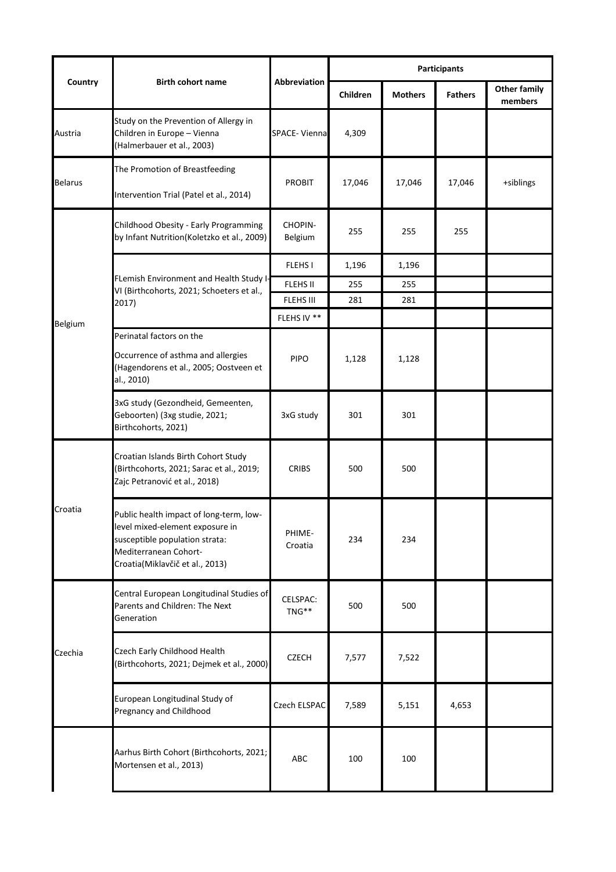|                |                                                                                                                                                                          |                     | <b>Participants</b> |                |                |                                |  |
|----------------|--------------------------------------------------------------------------------------------------------------------------------------------------------------------------|---------------------|---------------------|----------------|----------------|--------------------------------|--|
| Country        | <b>Birth cohort name</b>                                                                                                                                                 | <b>Abbreviation</b> | Children            | <b>Mothers</b> | <b>Fathers</b> | <b>Other family</b><br>members |  |
| Austria        | Study on the Prevention of Allergy in<br>Children in Europe - Vienna<br>(Halmerbauer et al., 2003)                                                                       | SPACE-Vienna        | 4,309               |                |                |                                |  |
| <b>Belarus</b> | The Promotion of Breastfeeding<br>Intervention Trial (Patel et al., 2014)                                                                                                | <b>PROBIT</b>       | 17,046              | 17,046         | 17,046         | +siblings                      |  |
|                | Childhood Obesity - Early Programming<br>by Infant Nutrition(Koletzko et al., 2009)                                                                                      | CHOPIN-<br>Belgium  | 255                 | 255            | 255            |                                |  |
|                |                                                                                                                                                                          | <b>FLEHSI</b>       | 1,196               | 1,196          |                |                                |  |
|                | FLemish Environment and Health Study I-<br>VI (Birthcohorts, 2021; Schoeters et al.,                                                                                     | <b>FLEHS II</b>     | 255                 | 255            |                |                                |  |
|                | 2017)                                                                                                                                                                    | <b>FLEHS III</b>    | 281                 | 281            |                |                                |  |
| Belgium        |                                                                                                                                                                          | FLEHS IV **         |                     |                |                |                                |  |
|                | Perinatal factors on the<br>Occurrence of asthma and allergies<br>(Hagendorens et al., 2005; Oostveen et<br>al., 2010)                                                   | <b>PIPO</b>         | 1,128               | 1,128          |                |                                |  |
|                | 3xG study (Gezondheid, Gemeenten,<br>Geboorten) (3xg studie, 2021;<br>Birthcohorts, 2021)                                                                                | 3xG study           | 301                 | 301            |                |                                |  |
|                | Croatian Islands Birth Cohort Study<br>(Birthcohorts, 2021; Sarac et al., 2019;<br>Zajc Petranović et al., 2018)                                                         | <b>CRIBS</b>        | 500                 | 500            |                |                                |  |
| Croatia        | Public health impact of long-term, low-<br>level mixed-element exposure in<br>susceptible population strata:<br>Mediterranean Cohort-<br>Croatia(Miklavčič et al., 2013) | PHIME-<br>Croatia   | 234                 | 234            |                |                                |  |
|                | Central European Longitudinal Studies of<br>Parents and Children: The Next<br>Generation                                                                                 | CELSPAC:<br>TNG**   | 500                 | 500            |                |                                |  |
| Czechia        | Czech Early Childhood Health<br>(Birthcohorts, 2021; Dejmek et al., 2000)                                                                                                | <b>CZECH</b>        | 7,577               | 7,522          |                |                                |  |
|                | European Longitudinal Study of<br>Pregnancy and Childhood                                                                                                                | Czech ELSPAC        | 7,589               | 5,151          | 4,653          |                                |  |
|                | Aarhus Birth Cohort (Birthcohorts, 2021;<br>Mortensen et al., 2013)                                                                                                      | ABC                 | 100                 | 100            |                |                                |  |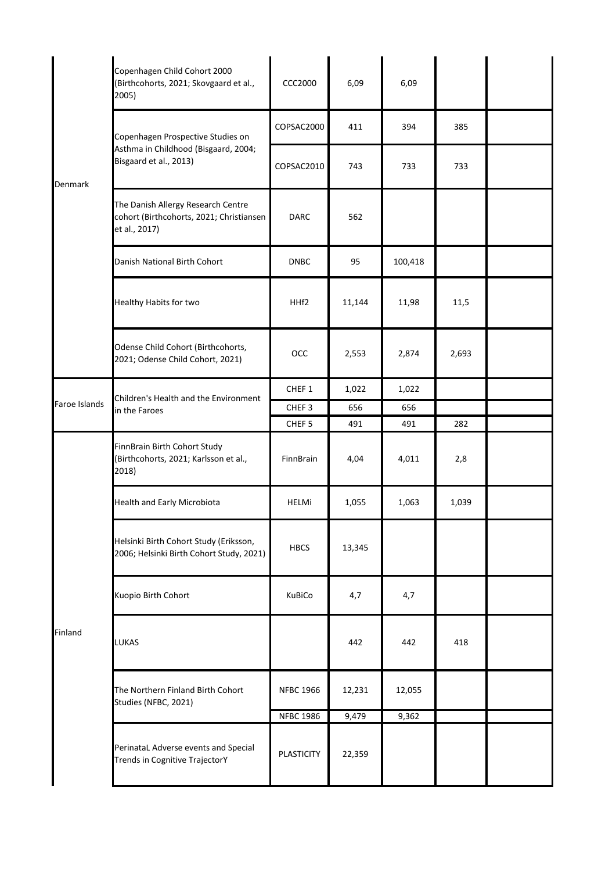|               | Copenhagen Child Cohort 2000<br>(Birthcohorts, 2021; Skovgaard et al.,<br>2005)                     | <b>CCC2000</b>    | 6,09   | 6,09    |       |  |
|---------------|-----------------------------------------------------------------------------------------------------|-------------------|--------|---------|-------|--|
|               | Copenhagen Prospective Studies on<br>Asthma in Childhood (Bisgaard, 2004;<br>Bisgaard et al., 2013) | COPSAC2000        | 411    | 394     | 385   |  |
| Denmark       |                                                                                                     | COPSAC2010        | 743    | 733     | 733   |  |
|               | The Danish Allergy Research Centre<br>cohort (Birthcohorts, 2021; Christiansen<br>et al., 2017)     | <b>DARC</b>       | 562    |         |       |  |
|               | Danish National Birth Cohort                                                                        | <b>DNBC</b>       | 95     | 100,418 |       |  |
|               | Healthy Habits for two                                                                              | HHf2              | 11,144 | 11,98   | 11,5  |  |
|               | Odense Child Cohort (Birthcohorts,<br>2021; Odense Child Cohort, 2021)                              | OCC               | 2,553  | 2,874   | 2,693 |  |
|               | Children's Health and the Environment<br>in the Faroes                                              | CHEF 1            | 1,022  | 1,022   |       |  |
| Faroe Islands |                                                                                                     | CHEF <sub>3</sub> | 656    | 656     |       |  |
|               |                                                                                                     | CHEF <sub>5</sub> | 491    | 491     | 282   |  |
|               | FinnBrain Birth Cohort Study<br>(Birthcohorts, 2021; Karlsson et al.,<br>2018)                      | FinnBrain         | 4,04   | 4,011   | 2,8   |  |
|               | <b>Health and Early Microbiota</b>                                                                  | <b>HELMi</b>      | 1,055  | 1,063   | 1,039 |  |
|               | Helsinki Birth Cohort Study (Eriksson,<br>2006; Helsinki Birth Cohort Study, 2021)                  | <b>HBCS</b>       | 13,345 |         |       |  |
|               | Kuopio Birth Cohort                                                                                 | KuBiCo            | 4,7    | 4,7     |       |  |
| Finland       | <b>LUKAS</b>                                                                                        |                   | 442    | 442     | 418   |  |
|               | The Northern Finland Birth Cohort<br>Studies (NFBC, 2021)                                           | <b>NFBC 1966</b>  | 12,231 | 12,055  |       |  |
|               |                                                                                                     | <b>NFBC 1986</b>  | 9,479  | 9,362   |       |  |
|               | PerinataL Adverse events and Special<br>Trends in Cognitive TrajectorY                              | <b>PLASTICITY</b> | 22,359 |         |       |  |
|               |                                                                                                     |                   |        |         |       |  |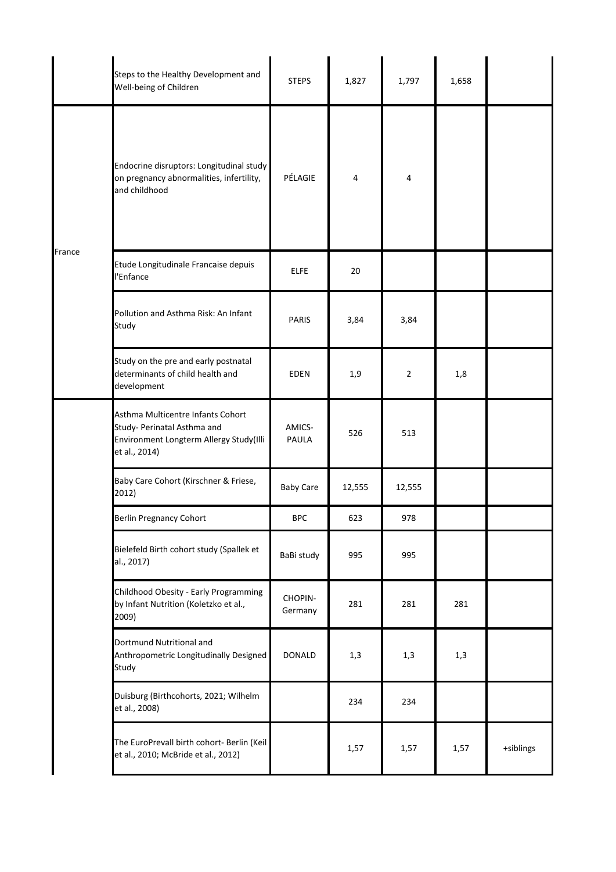|        | Steps to the Healthy Development and<br>Well-being of Children                                                               | <b>STEPS</b>       | 1,827  | 1,797          | 1,658 |           |
|--------|------------------------------------------------------------------------------------------------------------------------------|--------------------|--------|----------------|-------|-----------|
|        | Endocrine disruptors: Longitudinal study<br>on pregnancy abnormalities, infertility,<br>and childhood                        | PÉLAGIE            | 4      | 4              |       |           |
| France | Etude Longitudinale Francaise depuis<br>l'Enfance                                                                            | <b>ELFE</b>        | 20     |                |       |           |
|        | Pollution and Asthma Risk: An Infant<br>Study                                                                                | PARIS              | 3,84   | 3,84           |       |           |
|        | Study on the pre and early postnatal<br>determinants of child health and<br>development                                      | <b>EDEN</b>        | 1,9    | $\overline{2}$ | 1,8   |           |
|        | Asthma Multicentre Infants Cohort<br>Study- Perinatal Asthma and<br>Environment Longterm Allergy Study(Illi<br>et al., 2014) | AMICS-<br>PAULA    | 526    | 513            |       |           |
|        | Baby Care Cohort (Kirschner & Friese,<br>2012)                                                                               | <b>Baby Care</b>   | 12,555 | 12,555         |       |           |
|        | <b>Berlin Pregnancy Cohort</b>                                                                                               | <b>BPC</b>         | 623    | 978            |       |           |
|        | Bielefeld Birth cohort study (Spallek et<br>al., 2017)                                                                       | BaBi study         | 995    | 995            |       |           |
|        | Childhood Obesity - Early Programming<br>by Infant Nutrition (Koletzko et al.,<br>2009)                                      | CHOPIN-<br>Germany | 281    | 281            | 281   |           |
|        | Dortmund Nutritional and<br>Anthropometric Longitudinally Designed<br>Study                                                  | <b>DONALD</b>      | 1,3    | 1,3            | 1,3   |           |
|        | Duisburg (Birthcohorts, 2021; Wilhelm<br>et al., 2008)                                                                       |                    | 234    | 234            |       |           |
|        | The EuroPrevall birth cohort- Berlin (Keil<br>et al., 2010; McBride et al., 2012)                                            |                    | 1,57   | 1,57           | 1,57  | +siblings |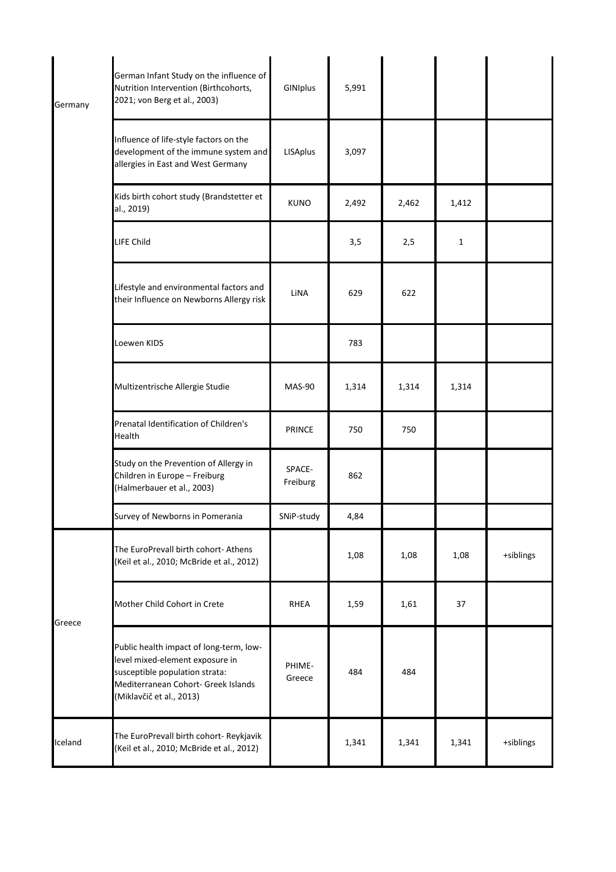| Germany | German Infant Study on the influence of<br>Nutrition Intervention (Birthcohorts,<br>2021; von Berg et al., 2003)                                                                | GINIplus           | 5,991 |       |              |           |
|---------|---------------------------------------------------------------------------------------------------------------------------------------------------------------------------------|--------------------|-------|-------|--------------|-----------|
|         | Influence of life-style factors on the<br>development of the immune system and<br>allergies in East and West Germany                                                            | <b>LISAplus</b>    | 3,097 |       |              |           |
|         | Kids birth cohort study (Brandstetter et<br>al., 2019)                                                                                                                          | <b>KUNO</b>        | 2,492 | 2,462 | 1,412        |           |
|         | <b>LIFE Child</b>                                                                                                                                                               |                    | 3,5   | 2,5   | $\mathbf{1}$ |           |
|         | Lifestyle and environmental factors and<br>their Influence on Newborns Allergy risk                                                                                             | LiNA               | 629   | 622   |              |           |
|         | Loewen KIDS                                                                                                                                                                     |                    | 783   |       |              |           |
|         | Multizentrische Allergie Studie                                                                                                                                                 | MAS-90             | 1,314 | 1,314 | 1,314        |           |
|         | Prenatal Identification of Children's<br>Health                                                                                                                                 | PRINCE             | 750   | 750   |              |           |
|         | Study on the Prevention of Allergy in<br>Children in Europe - Freiburg<br>(Halmerbauer et al., 2003)                                                                            | SPACE-<br>Freiburg | 862   |       |              |           |
|         | Survey of Newborns in Pomerania                                                                                                                                                 | SNiP-study         | 4,84  |       |              |           |
|         | The EuroPrevall birth cohort- Athens<br>(Keil et al., 2010; McBride et al., 2012)                                                                                               |                    | 1,08  | 1,08  | 1,08         | +siblings |
| Greece  | Mother Child Cohort in Crete                                                                                                                                                    | <b>RHEA</b>        | 1,59  | 1,61  | 37           |           |
|         | Public health impact of long-term, low-<br>level mixed-element exposure in<br>susceptible population strata:<br>Mediterranean Cohort- Greek Islands<br>(Miklavčič et al., 2013) | PHIME-<br>Greece   | 484   | 484   |              |           |
| Iceland | The EuroPrevall birth cohort- Reykjavik<br>(Keil et al., 2010; McBride et al., 2012)                                                                                            |                    | 1,341 | 1,341 | 1,341        | +siblings |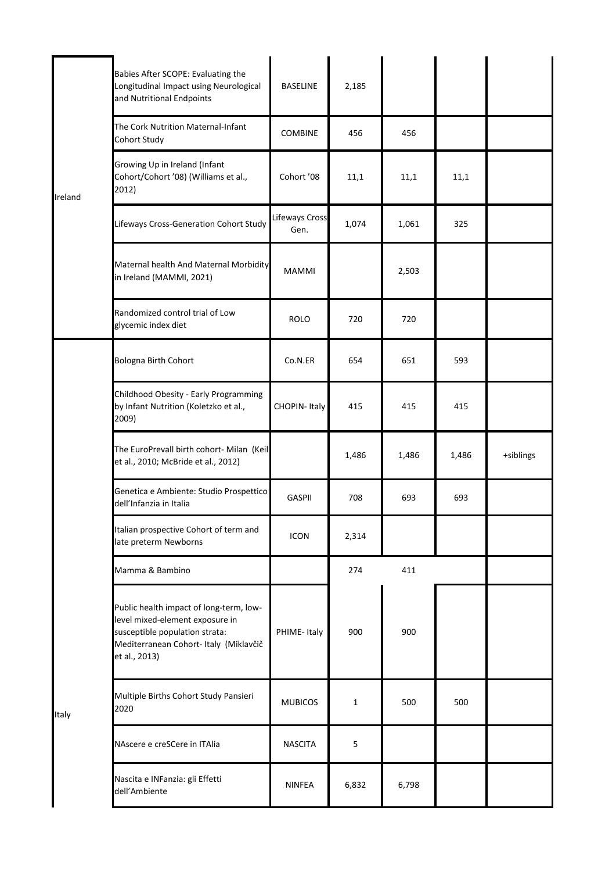| Babies After SCOPE: Evaluating the<br>Longitudinal Impact using Neurological<br>and Nutritional Endpoints                                                               | <b>BASELINE</b>        | 2,185                                                                               |       |       |           |
|-------------------------------------------------------------------------------------------------------------------------------------------------------------------------|------------------------|-------------------------------------------------------------------------------------|-------|-------|-----------|
| The Cork Nutrition Maternal-Infant<br>Cohort Study                                                                                                                      | <b>COMBINE</b>         | 456                                                                                 | 456   |       |           |
| Growing Up in Ireland (Infant<br>Cohort/Cohort '08) (Williams et al.,<br>2012)                                                                                          | Cohort '08             | 11,1                                                                                | 11,1  | 11,1  |           |
| Lifeways Cross-Generation Cohort Study                                                                                                                                  | Lifeways Cross<br>Gen. | 1,074                                                                               | 1,061 | 325   |           |
| in Ireland (MAMMI, 2021)                                                                                                                                                | <b>MAMMI</b>           |                                                                                     | 2,503 |       |           |
| Randomized control trial of Low<br>glycemic index diet                                                                                                                  | <b>ROLO</b>            | 720                                                                                 | 720   |       |           |
| Bologna Birth Cohort                                                                                                                                                    | Co.N.ER                | 654                                                                                 | 651   | 593   |           |
| Childhood Obesity - Early Programming<br>by Infant Nutrition (Koletzko et al.,<br>2009)                                                                                 | CHOPIN-Italy           | 415                                                                                 | 415   | 415   |           |
| et al., 2010; McBride et al., 2012)                                                                                                                                     |                        | 1,486                                                                               | 1,486 | 1,486 | +siblings |
| Genetica e Ambiente: Studio Prospettico<br>dell'Infanzia in Italia                                                                                                      | <b>GASPII</b>          | 708                                                                                 | 693   | 693   |           |
| Italian prospective Cohort of term and<br>late preterm Newborns                                                                                                         | <b>ICON</b>            | 2,314                                                                               |       |       |           |
| Mamma & Bambino                                                                                                                                                         |                        | 274                                                                                 | 411   |       |           |
| Public health impact of long-term, low-<br>level mixed-element exposure in<br>susceptible population strata:<br>Mediterranean Cohort- Italy (Miklavčič<br>et al., 2013) | PHIME-Italy            | 900                                                                                 | 900   |       |           |
| Multiple Births Cohort Study Pansieri<br>2020                                                                                                                           | <b>MUBICOS</b>         | $\mathbf{1}$                                                                        | 500   | 500   |           |
| NAscere e creSCere in ITAlia                                                                                                                                            | <b>NASCITA</b>         | 5                                                                                   |       |       |           |
| Nascita e INFanzia: gli Effetti<br>dell'Ambiente                                                                                                                        | <b>NINFEA</b>          | 6,832                                                                               | 6,798 |       |           |
|                                                                                                                                                                         |                        | Maternal health And Maternal Morbidity<br>The EuroPrevall birth cohort- Milan (Keil |       |       |           |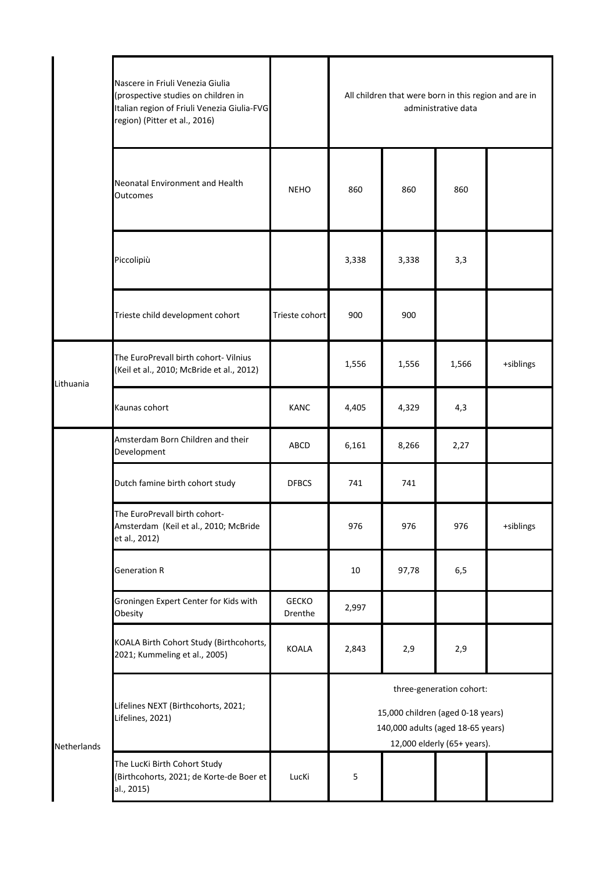|             | Nascere in Friuli Venezia Giulia<br>(prospective studies on children in<br>Italian region of Friuli Venezia Giulia-FVG<br>region) (Pitter et al., 2016) |                         | All children that were born in this region and are in<br>administrative data                                                      |       |       |           |  |
|-------------|---------------------------------------------------------------------------------------------------------------------------------------------------------|-------------------------|-----------------------------------------------------------------------------------------------------------------------------------|-------|-------|-----------|--|
|             | Neonatal Environment and Health<br><b>Outcomes</b>                                                                                                      | <b>NEHO</b>             | 860                                                                                                                               | 860   | 860   |           |  |
|             | Piccolipiù                                                                                                                                              |                         | 3,338                                                                                                                             | 3,338 | 3,3   |           |  |
|             | Trieste child development cohort                                                                                                                        | Trieste cohort          | 900                                                                                                                               | 900   |       |           |  |
| Lithuania   | The EuroPrevall birth cohort- Vilnius<br>(Keil et al., 2010; McBride et al., 2012)                                                                      |                         | 1,556                                                                                                                             | 1,556 | 1,566 | +siblings |  |
|             | Kaunas cohort                                                                                                                                           | <b>KANC</b>             | 4,405                                                                                                                             | 4,329 | 4,3   |           |  |
|             | Amsterdam Born Children and their<br>Development                                                                                                        | ABCD                    | 6,161                                                                                                                             | 8,266 | 2,27  |           |  |
|             | Dutch famine birth cohort study                                                                                                                         | <b>DFBCS</b>            | 741                                                                                                                               | 741   |       |           |  |
|             | The EuroPrevall birth cohort-<br>Amsterdam (Keil et al., 2010; McBride<br>et al., 2012)                                                                 |                         | 976                                                                                                                               | 976   | 976   | +siblings |  |
|             | <b>Generation R</b>                                                                                                                                     |                         | 10                                                                                                                                | 97,78 | 6,5   |           |  |
|             | Groningen Expert Center for Kids with<br>Obesity                                                                                                        | <b>GECKO</b><br>Drenthe | 2,997                                                                                                                             |       |       |           |  |
|             | KOALA Birth Cohort Study (Birthcohorts,<br>2021; Kummeling et al., 2005)                                                                                | <b>KOALA</b>            | 2,843                                                                                                                             | 2,9   | 2,9   |           |  |
| Netherlands | Lifelines NEXT (Birthcohorts, 2021;<br>Lifelines, 2021)                                                                                                 |                         | three-generation cohort:<br>15,000 children (aged 0-18 years)<br>140,000 adults (aged 18-65 years)<br>12,000 elderly (65+ years). |       |       |           |  |
|             | The LucKi Birth Cohort Study<br>(Birthcohorts, 2021; de Korte-de Boer et<br>al., 2015)                                                                  | LucKi                   | 5                                                                                                                                 |       |       |           |  |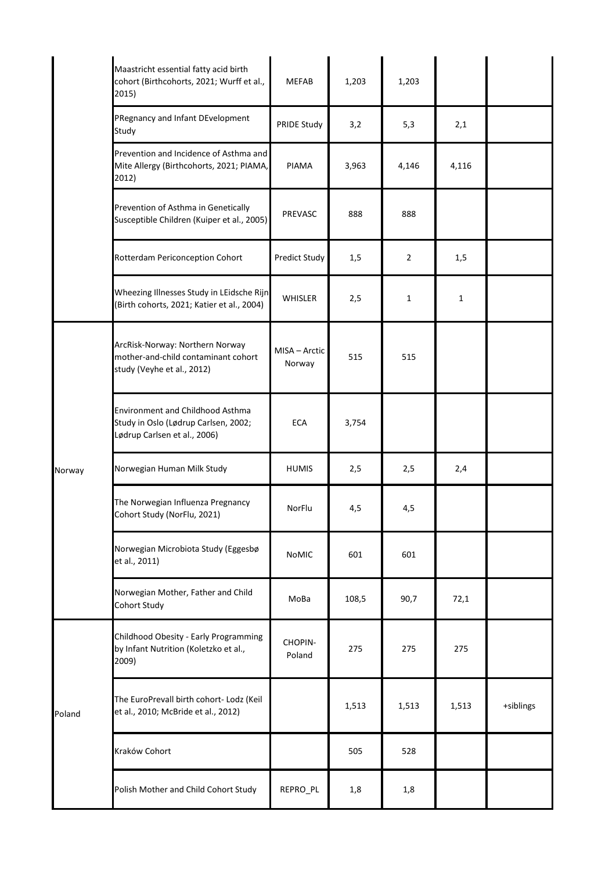|        | Maastricht essential fatty acid birth<br>cohort (Birthcohorts, 2021; Wurff et al.,<br>2015)              | <b>MEFAB</b>            | 1,203 | 1,203          |       |           |
|--------|----------------------------------------------------------------------------------------------------------|-------------------------|-------|----------------|-------|-----------|
|        | PRegnancy and Infant DEvelopment<br>Study                                                                | PRIDE Study             | 3,2   | 5,3            | 2,1   |           |
|        | Prevention and Incidence of Asthma and<br>Mite Allergy (Birthcohorts, 2021; PIAMA,<br>2012)              | PIAMA                   | 3,963 | 4,146          | 4,116 |           |
|        | Prevention of Asthma in Genetically<br>Susceptible Children (Kuiper et al., 2005)                        | PREVASC                 | 888   | 888            |       |           |
|        | Rotterdam Periconception Cohort                                                                          | Predict Study           | 1,5   | $\overline{2}$ | 1,5   |           |
|        | Wheezing Illnesses Study in LEidsche Rijn<br>(Birth cohorts, 2021; Katier et al., 2004)                  | <b>WHISLER</b>          | 2,5   | $\mathbf{1}$   | 1     |           |
|        | ArcRisk-Norway: Northern Norway<br>mother-and-child contaminant cohort<br>study (Veyhe et al., 2012)     | MISA - Arctic<br>Norway | 515   | 515            |       |           |
|        | Environment and Childhood Asthma<br>Study in Oslo (Lødrup Carlsen, 2002;<br>Lødrup Carlsen et al., 2006) | <b>ECA</b>              | 3,754 |                |       |           |
| Norway | Norwegian Human Milk Study                                                                               | <b>HUMIS</b>            | 2,5   | 2,5            | 2,4   |           |
|        | The Norwegian Influenza Pregnancy<br>Cohort Study (NorFlu, 2021)                                         | NorFlu                  | 4,5   | 4,5            |       |           |
|        | Norwegian Microbiota Study (Eggesbø<br>et al., 2011)                                                     | <b>NoMIC</b>            | 601   | 601            |       |           |
|        | Norwegian Mother, Father and Child<br>Cohort Study                                                       | MoBa                    | 108,5 | 90,7           | 72,1  |           |
| Poland | Childhood Obesity - Early Programming<br>by Infant Nutrition (Koletzko et al.,<br>2009)                  | CHOPIN-<br>Poland       | 275   | 275            | 275   |           |
|        | The EuroPrevall birth cohort- Lodz (Keil<br>et al., 2010; McBride et al., 2012)                          |                         | 1,513 | 1,513          | 1,513 | +siblings |
|        | Kraków Cohort                                                                                            |                         | 505   | 528            |       |           |
|        | Polish Mother and Child Cohort Study                                                                     | REPRO_PL                | 1,8   | 1,8            |       |           |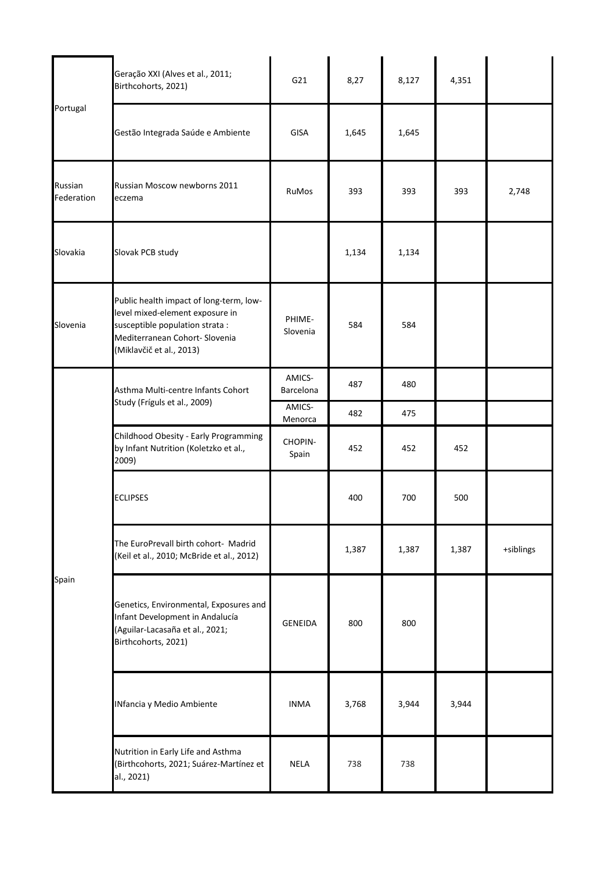|                       | Geração XXI (Alves et al., 2011;<br>Birthcohorts, 2021)                                                                                                                     | G21                 | 8,27  | 8,127 | 4,351 |           |
|-----------------------|-----------------------------------------------------------------------------------------------------------------------------------------------------------------------------|---------------------|-------|-------|-------|-----------|
| Portugal              | Gestão Integrada Saúde e Ambiente                                                                                                                                           | GISA                | 1,645 | 1,645 |       |           |
| Russian<br>Federation | Russian Moscow newborns 2011<br>eczema                                                                                                                                      | RuMos               | 393   | 393   | 393   | 2,748     |
| Slovakia              | Slovak PCB study                                                                                                                                                            |                     | 1,134 | 1,134 |       |           |
| Slovenia              | Public health impact of long-term, low-<br>level mixed-element exposure in<br>susceptible population strata :<br>Mediterranean Cohort- Slovenia<br>(Miklavčič et al., 2013) | PHIME-<br>Slovenia  | 584   | 584   |       |           |
|                       | Asthma Multi-centre Infants Cohort<br>Study (Fríguls et al., 2009)                                                                                                          | AMICS-<br>Barcelona | 487   | 480   |       |           |
|                       |                                                                                                                                                                             | AMICS-<br>Menorca   | 482   | 475   |       |           |
|                       | Childhood Obesity - Early Programming<br>by Infant Nutrition (Koletzko et al.,<br>2009)                                                                                     | CHOPIN-<br>Spain    | 452   | 452   | 452   |           |
|                       | <b>ECLIPSES</b>                                                                                                                                                             |                     | 400   | 700   | 500   |           |
|                       | The EuroPrevall birth cohort- Madrid<br>(Keil et al., 2010; McBride et al., 2012)                                                                                           |                     | 1,387 | 1,387 | 1,387 | +siblings |
| Spain                 | Genetics, Environmental, Exposures and<br>Infant Development in Andalucía<br>(Aguilar-Lacasaña et al., 2021;<br>Birthcohorts, 2021)                                         | <b>GENEIDA</b>      | 800   | 800   |       |           |
|                       | INfancia y Medio Ambiente                                                                                                                                                   | <b>INMA</b>         | 3,768 | 3,944 | 3,944 |           |
|                       | Nutrition in Early Life and Asthma<br>(Birthcohorts, 2021; Suárez-Martínez et<br>al., 2021)                                                                                 | <b>NELA</b>         | 738   | 738   |       |           |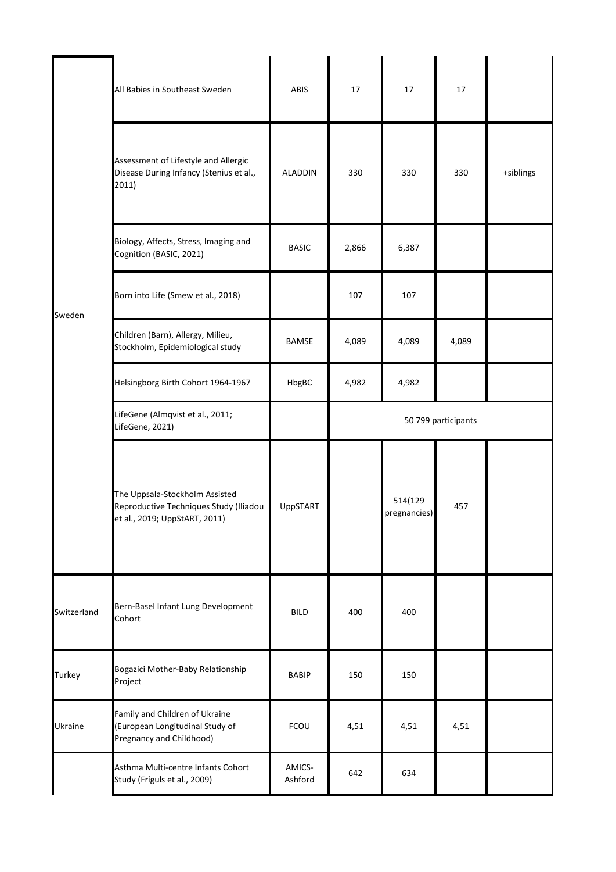|             | All Babies in Southeast Sweden                                                                            | <b>ABIS</b>       | 17                  | 17                      | 17    |           |  |
|-------------|-----------------------------------------------------------------------------------------------------------|-------------------|---------------------|-------------------------|-------|-----------|--|
| Sweden      | Assessment of Lifestyle and Allergic<br>Disease During Infancy (Stenius et al.,<br>2011)                  | <b>ALADDIN</b>    | 330                 | 330                     | 330   | +siblings |  |
|             | Biology, Affects, Stress, Imaging and<br>Cognition (BASIC, 2021)                                          | <b>BASIC</b>      | 2,866               | 6,387                   |       |           |  |
|             | Born into Life (Smew et al., 2018)                                                                        |                   | 107                 | 107                     |       |           |  |
|             | Children (Barn), Allergy, Milieu,<br>Stockholm, Epidemiological study                                     | BAMSE             | 4,089               | 4,089                   | 4,089 |           |  |
|             | Helsingborg Birth Cohort 1964-1967                                                                        | HbgBC             | 4,982               | 4,982                   |       |           |  |
|             | LifeGene (Almqvist et al., 2011;<br>LifeGene, 2021)                                                       |                   | 50 799 participants |                         |       |           |  |
|             | The Uppsala-Stockholm Assisted<br>Reproductive Techniques Study (Iliadou<br>et al., 2019; UppStART, 2011) | UppSTART          |                     | 514(129<br>pregnancies) | 457   |           |  |
| Switzerland | Bern-Basel Infant Lung Development<br>Cohort                                                              | <b>BILD</b>       | 400                 | 400                     |       |           |  |
| Turkey      | Bogazici Mother-Baby Relationship<br>Project                                                              | <b>BABIP</b>      | 150                 | 150                     |       |           |  |
| Ukraine     | Family and Children of Ukraine<br>(European Longitudinal Study of<br>Pregnancy and Childhood)             | FCOU              | 4,51                | 4,51                    | 4,51  |           |  |
|             | Asthma Multi-centre Infants Cohort<br>Study (Fríguls et al., 2009)                                        | AMICS-<br>Ashford | 642                 | 634                     |       |           |  |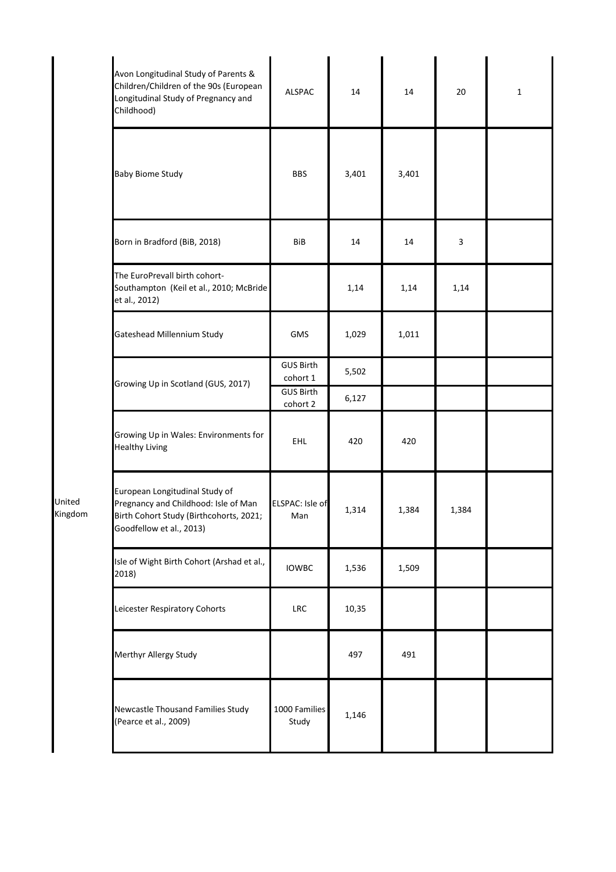| Avon Longitudinal Study of Parents &<br>Children/Children of the 90s (European<br>Longitudinal Study of Pregnancy and<br>Childhood)           | ALSPAC                       | 14    | 14    | 20    | $\mathbf{1}$ |
|-----------------------------------------------------------------------------------------------------------------------------------------------|------------------------------|-------|-------|-------|--------------|
| <b>Baby Biome Study</b>                                                                                                                       | <b>BBS</b>                   | 3,401 | 3,401 |       |              |
| Born in Bradford (BiB, 2018)                                                                                                                  | BiB                          | 14    | 14    | 3     |              |
| The EuroPrevall birth cohort-<br>Southampton (Keil et al., 2010; McBride<br>et al., 2012)                                                     |                              | 1,14  | 1,14  | 1,14  |              |
| Gateshead Millennium Study                                                                                                                    | <b>GMS</b>                   | 1,029 | 1,011 |       |              |
| Growing Up in Scotland (GUS, 2017)                                                                                                            | <b>GUS Birth</b><br>cohort 1 | 5,502 |       |       |              |
|                                                                                                                                               | <b>GUS Birth</b><br>cohort 2 | 6,127 |       |       |              |
| Growing Up in Wales: Environments for<br><b>Healthy Living</b>                                                                                | <b>EHL</b>                   | 420   | 420   |       |              |
| European Longitudinal Study of<br>Pregnancy and Childhood: Isle of Man<br>Birth Cohort Study (Birthcohorts, 2021;<br>Goodfellow et al., 2013) | ELSPAC: Isle of<br>Man       | 1,314 | 1,384 | 1,384 |              |
| Isle of Wight Birth Cohort (Arshad et al.,<br>2018)                                                                                           | <b>IOWBC</b>                 | 1,536 | 1,509 |       |              |
| Leicester Respiratory Cohorts                                                                                                                 | <b>LRC</b>                   | 10,35 |       |       |              |
| Merthyr Allergy Study                                                                                                                         |                              | 497   | 491   |       |              |
| Newcastle Thousand Families Study<br>(Pearce et al., 2009)                                                                                    | 1000 Families<br>Study       | 1,146 |       |       |              |

United Kingdom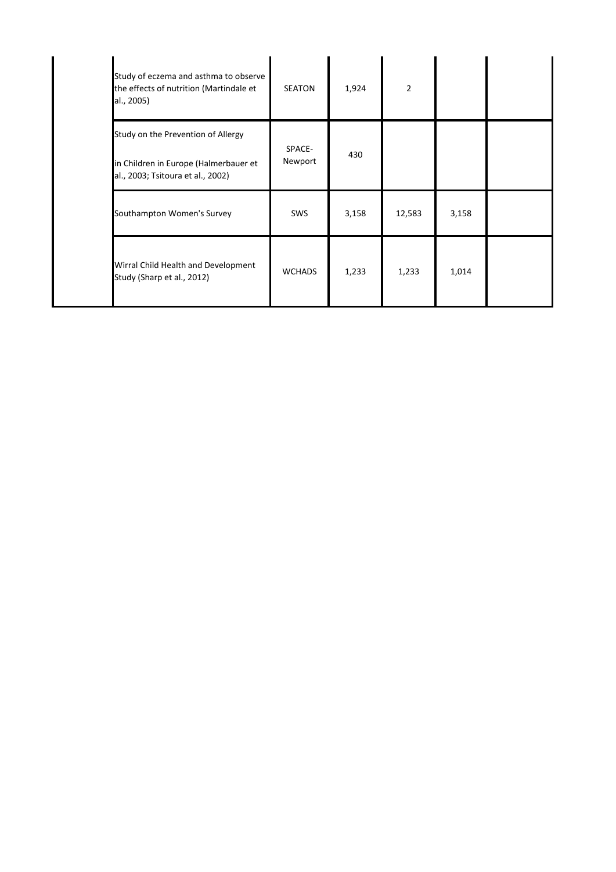| Study of eczema and asthma to observe<br>the effects of nutrition (Martindale et<br>al., 2005)                   | <b>SEATON</b>     | 1,924 | $\overline{2}$ |       |  |
|------------------------------------------------------------------------------------------------------------------|-------------------|-------|----------------|-------|--|
| Study on the Prevention of Allergy<br>in Children in Europe (Halmerbauer et<br>al., 2003; Tsitoura et al., 2002) | SPACE-<br>Newport | 430   |                |       |  |
| Southampton Women's Survey                                                                                       | <b>SWS</b>        | 3,158 | 12,583         | 3,158 |  |
| Wirral Child Health and Development<br>Study (Sharp et al., 2012)                                                | <b>WCHADS</b>     | 1,233 | 1,233          | 1,014 |  |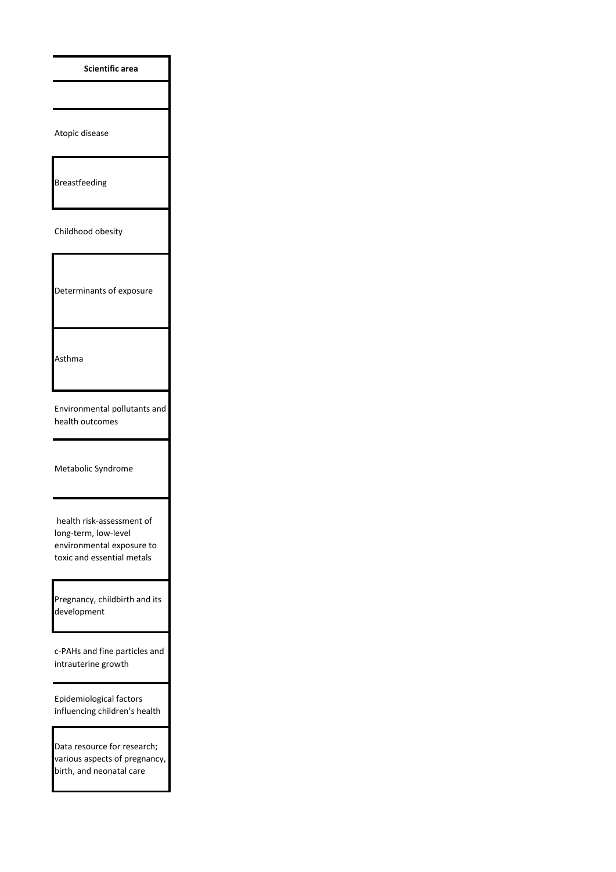**Scientific area**

Atopic disease

Breastfeeding

Childhood obesity

Determinants of exposure

Asthma

Environmental pollutants and health outcomes

Metabolic Syndrome

 health risk-assessment of long-term, low-level environmental exposure to toxic and essential metals

Pregnancy, childbirth and its development

c-PAHs and fine particles and intrauterine growth

Epidemiological factors influencing children's health

Data resource for research; various aspects of pregnancy, birth, and neonatal care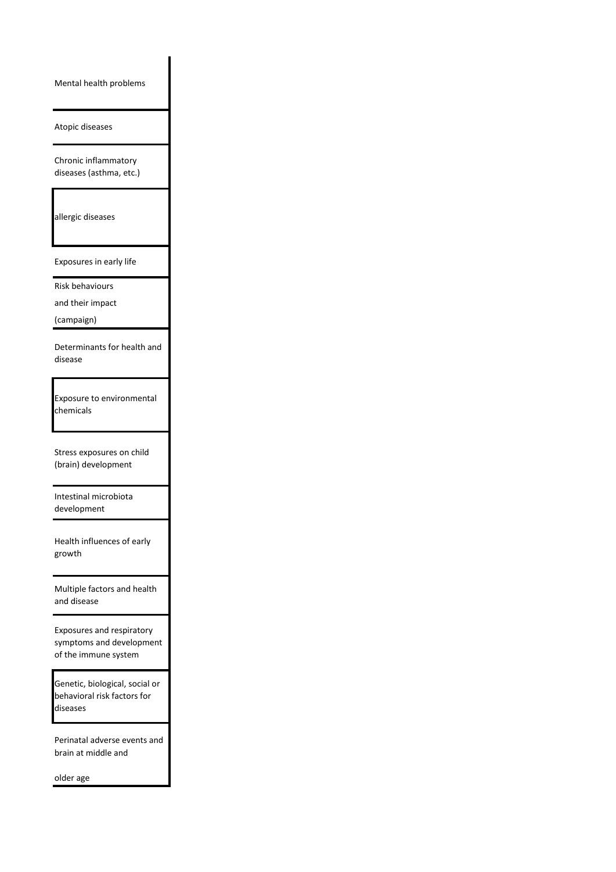Mental health problems

Atopic diseases

Chronic inflammatory diseases (asthma, etc.)

allergic diseases

Exposures in early life

Risk behaviours

and their impact

(campaign)

Determinants for health and disease

Exposure to environmental chemicals

Stress exposures on child (brain) development

Intestinal microbiota development

Health influences of early growth

Multiple factors and health and disease

Exposures and respiratory symptoms and development of the immune system

Genetic, biological, social or behavioral risk factors for diseases

Perinatal adverse events and brain at middle and

older age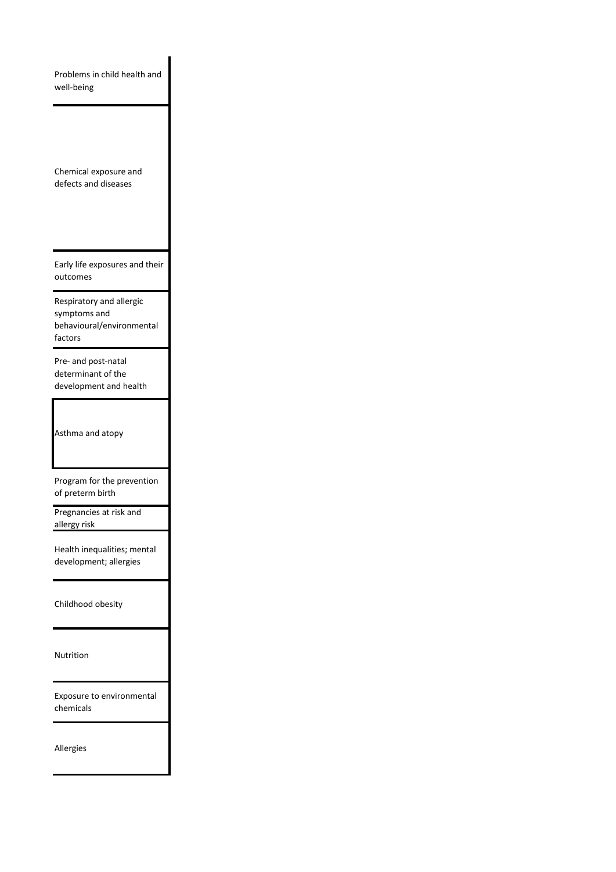Problems in child health and well-being

Chemical exposure and defects and diseases

Early life exposures and their outcomes

Respiratory and allergic symptoms and behavioural/environmental factors

Pre- and post-natal determinant of the development and health

Asthma and atopy

Program for the prevention of preterm birth

Pregnancies at risk and allergy risk

Health inequalities; mental development; allergies

Childhood obesity

Nutrition

Exposure to environmental chemicals

Allergies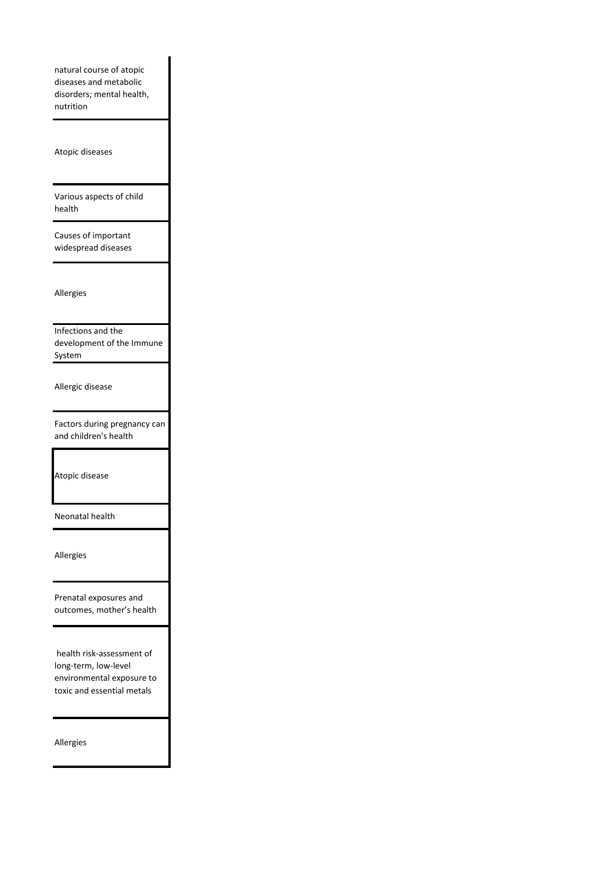natural course of atopic diseases and metabolic disorders; mental health, nutrition

Atopic diseases

Various aspects of child health

Causes of important widespread diseases

Allergies

Infections and the development of the Immune System

Allergic disease

Factors during pregnancy can and children's health

Atopic disease

Neonatal health

Allergies

Prenatal exposures and outcomes, mother's health

 health risk-assessment of long-term, low-level environmental exposure to toxic and essential metals

Allergies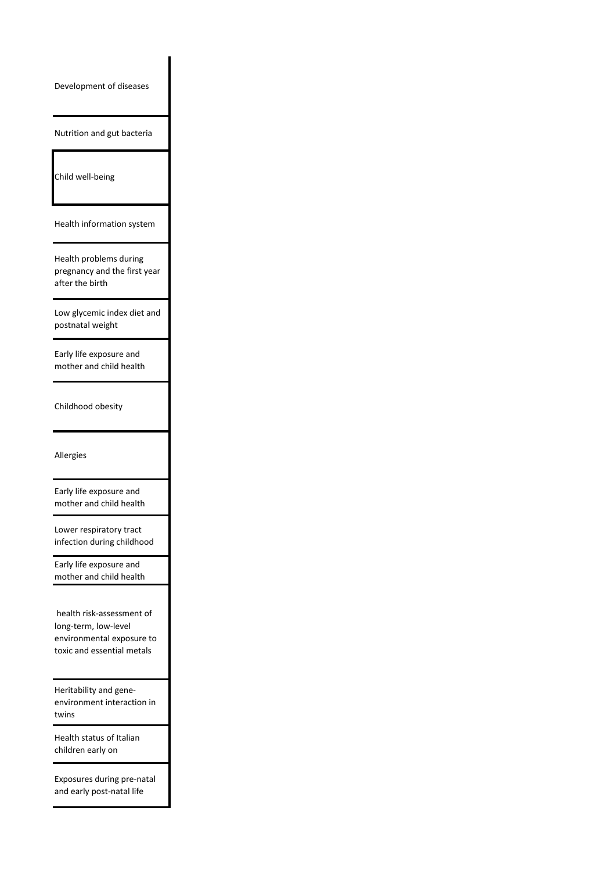Development of diseases

Nutrition and gut bacteria

Child well-being

Health information system

Health problems during pregnancy and the first year after the birth

Low glycemic index diet and postnatal weight

Early life exposure and mother and child health

Childhood obesity

Allergies

Early life exposure and mother and child health

Lower respiratory tract infection during childhood

Early life exposure and mother and child health

 health risk-assessment of long-term, low-level environmental exposure to toxic and essential metals

Heritability and geneenvironment interaction in twins

Health status of Italian children early on

Exposures during pre-natal and early post-natal life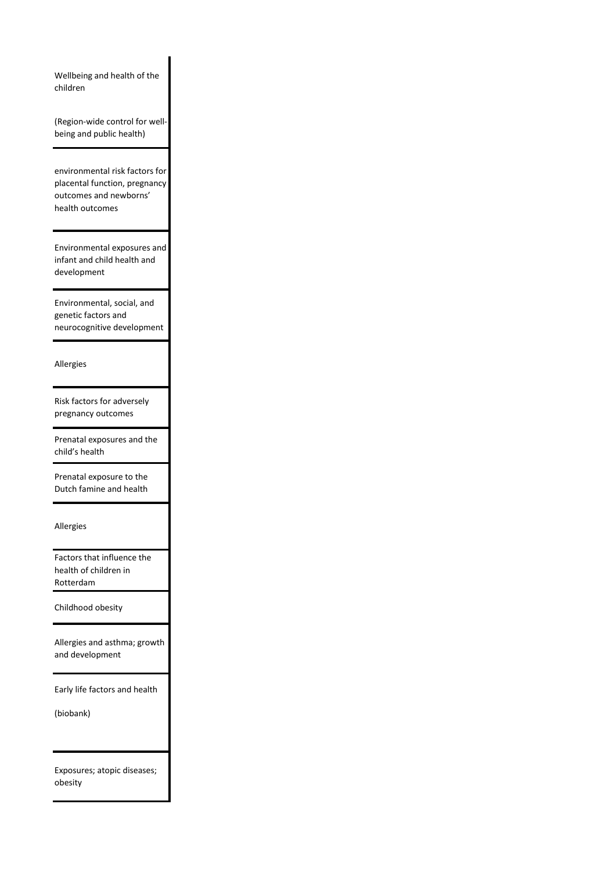Wellbeing and health of the children

(Region-wide control for wellbeing and public health)

environmental risk factors for placental function, pregnancy outcomes and newborns' health outcomes

Environmental exposures and infant and child health and development

Environmental, social, and genetic factors and neurocognitive development

Allergies

Risk factors for adversely pregnancy outcomes

Prenatal exposures and the child's health

Prenatal exposure to the Dutch famine and health

Allergies

Factors that influence the health of children in Rotterdam

Childhood obesity

Allergies and asthma; growth and development

Early life factors and health

(biobank)

Exposures; atopic diseases; obesity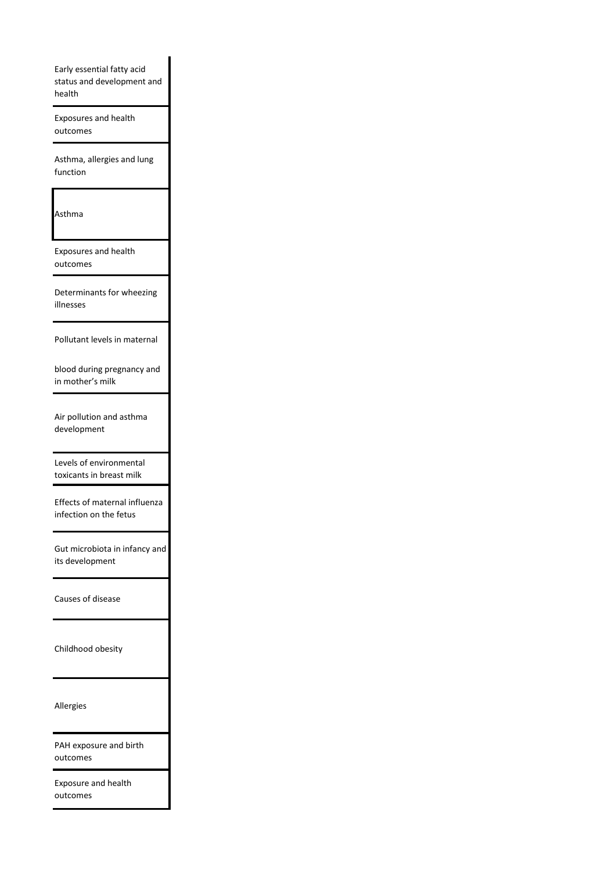Early essential fatty acid status and development and health

Exposures and health outcomes

Asthma, allergies and lung function

Asthma

Exposures and health outcomes

Determinants for wheezing illnesses

Pollutant levels in maternal

blood during pregnancy and in mother's milk

Air pollution and asthma development

Levels of environmental toxicants in breast milk

Effects of maternal influenza infection on the fetus

Gut microbiota in infancy and its development

Causes of disease

Childhood obesity

Allergies

PAH exposure and birth outcomes

Exposure and health outcomes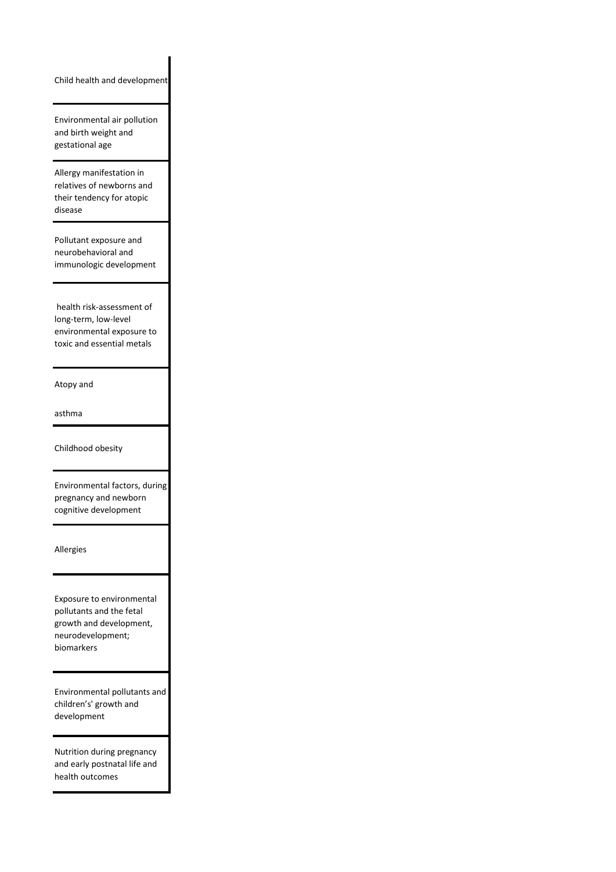Child health and development

Environmental air pollution and birth weight and gestational age

Allergy manifestation in relatives of newborns and their tendency for atopic disease

Pollutant exposure and neurobehavioral and immunologic development

 health risk-assessment of long-term, low-level environmental exposure to toxic and essential metals

Atopy and

asthma

Childhood obesity

Environmental factors, during pregnancy and newborn cognitive development

Allergies

Exposure to environmental pollutants and the fetal growth and development, neurodevelopment; biomarkers

Environmental pollutants and children's' growth and development

Nutrition during pregnancy and early postnatal life and health outcomes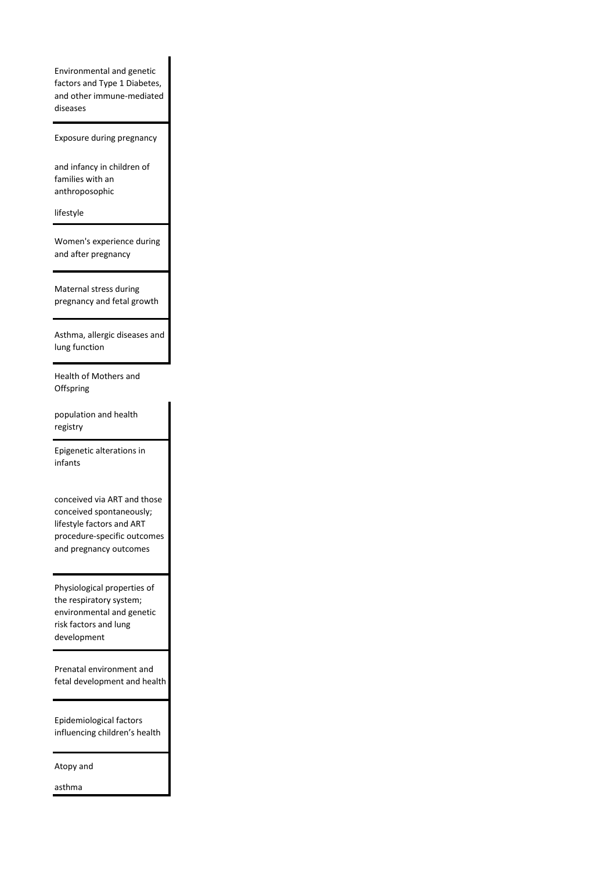Environmental and genetic factors and Type 1 Diabetes, and other immune-mediated diseases

Exposure during pregnancy

and infancy in children of families with an anthroposophic

lifestyle

Women's experience during and after pregnancy

Maternal stress during pregnancy and fetal growth

Asthma, allergic diseases and lung function

Health of Mothers and **Offspring** 

population and health registry

Epigenetic alterations in infants

conceived via ART and those conceived spontaneously; lifestyle factors and ART procedure-specific outcomes and pregnancy outcomes

Physiological properties of the respiratory system; environmental and genetic risk factors and lung development

Prenatal environment and fetal development and health

Epidemiological factors influencing children's health

Atopy and

asthma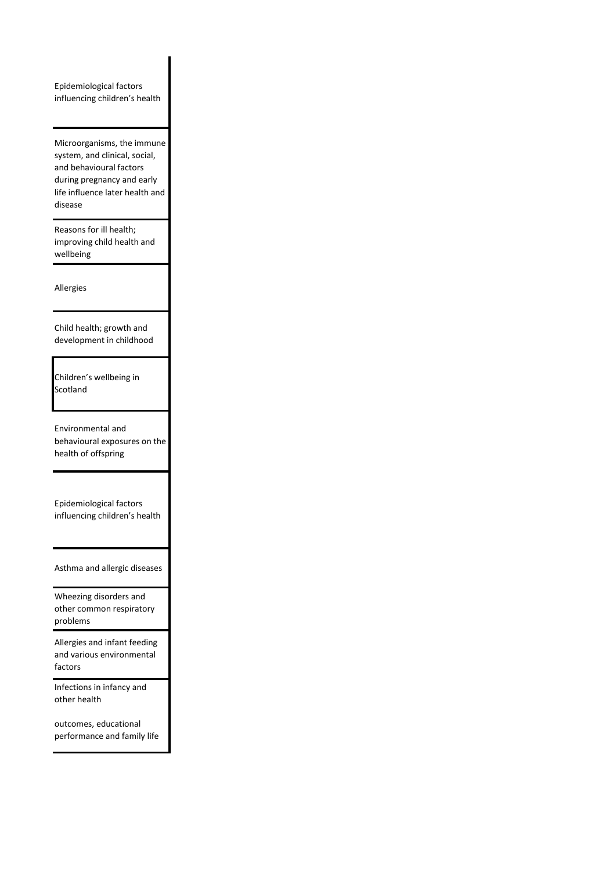Epidemiological factors influencing children's health

Microorganisms, the immune system, and clinical, social, and behavioural factors during pregnancy and early life influence later health and disease

Reasons for ill health; improving child health and wellbeing

Allergies

Child health; growth and development in childhood

Children's wellbeing in Scotland

Environmental and behavioural exposures on the health of offspring

Epidemiological factors influencing children's health

Asthma and allergic diseases

Wheezing disorders and other common respiratory problems

Allergies and infant feeding and various environmental factors

Infections in infancy and other health

outcomes, educational performance and family life